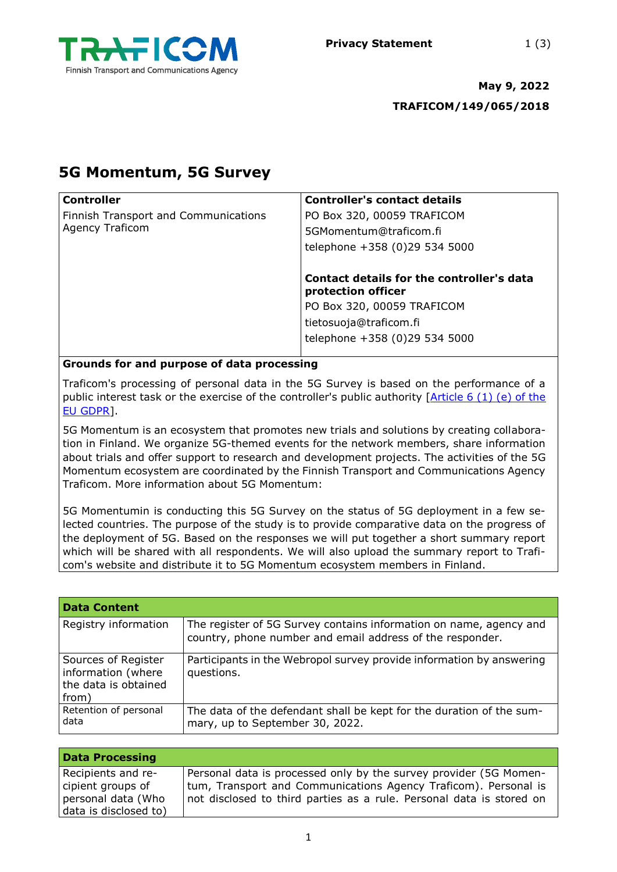

# **May 9, 2022 TRAFICOM/149/065/2018**

# **5G Momentum, 5G Survey**

| <b>Controller</b>                          | <b>Controller's contact details</b>                             |
|--------------------------------------------|-----------------------------------------------------------------|
| Finnish Transport and Communications       | PO Box 320, 00059 TRAFICOM                                      |
| <b>Agency Traficom</b>                     | 5GMomentum@traficom.fi                                          |
|                                            | telephone +358 (0)29 534 5000                                   |
|                                            | Contact details for the controller's data<br>protection officer |
|                                            | PO Box 320, 00059 TRAFICOM                                      |
|                                            | tietosuoja@traficom.fi                                          |
|                                            | telephone +358 (0)29 534 5000                                   |
| Cuaunda for and nurross of data nuccossing |                                                                 |

**Grounds for and purpose of data processing**

Traficom's processing of personal data in the 5G Survey is based on the performance of a public interest task or the exercise of the controller's public authority  $[Article 6 (1) (e) of the$ [EU GDPR\]](https://gdpr-text.com/fi/read/article-6/).

5G Momentum is an ecosystem that promotes new trials and solutions by creating collaboration in Finland. We organize 5G-themed events for the network members, share information about trials and offer support to research and development projects. The activities of the 5G Momentum ecosystem are coordinated by the Finnish Transport and Communications Agency Traficom. More information about 5G Momentum:

5G Momentumin is conducting this 5G Survey on the status of 5G deployment in a few selected countries. The purpose of the study is to provide comparative data on the progress of the deployment of 5G. Based on the responses we will put together a short summary report which will be shared with all respondents. We will also upload the summary report to Traficom's website and distribute it to 5G Momentum ecosystem members in Finland.

| <b>Data Content</b>                                                        |                                                                                                                                 |
|----------------------------------------------------------------------------|---------------------------------------------------------------------------------------------------------------------------------|
| Registry information                                                       | The register of 5G Survey contains information on name, agency and<br>country, phone number and email address of the responder. |
| Sources of Register<br>information (where<br>the data is obtained<br>from) | Participants in the Webropol survey provide information by answering<br>questions.                                              |
| Retention of personal<br>data                                              | The data of the defendant shall be kept for the duration of the sum-<br>mary, up to September 30, 2022.                         |

| <b>Data Processing</b>                                                                 |                                                                                                                                                                                                              |
|----------------------------------------------------------------------------------------|--------------------------------------------------------------------------------------------------------------------------------------------------------------------------------------------------------------|
| Recipients and re-<br>cipient groups of<br>personal data (Who<br>data is disclosed to) | Personal data is processed only by the survey provider (5G Momen-<br>tum, Transport and Communications Agency Traficom). Personal is<br>not disclosed to third parties as a rule. Personal data is stored on |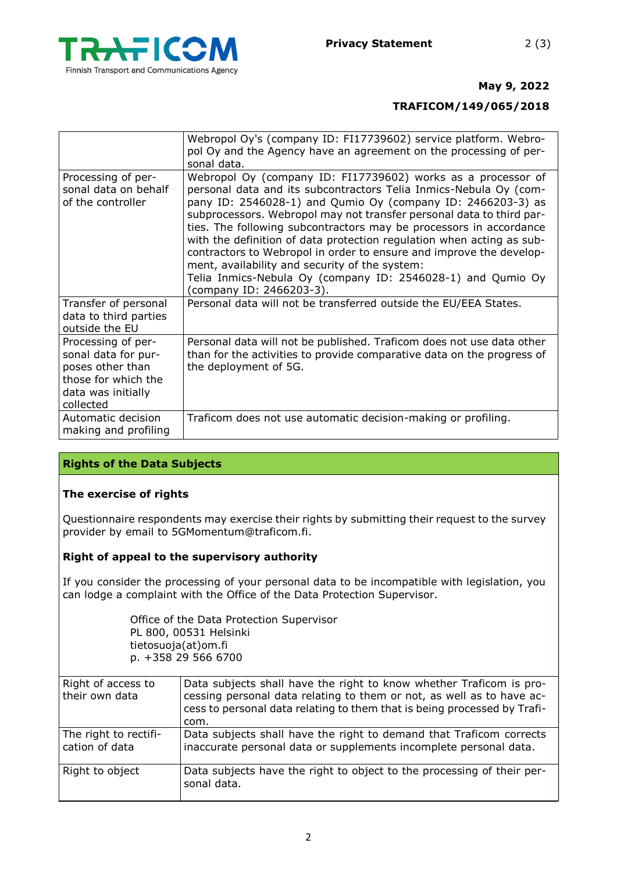

### **May 9, 2022**

### **TRAFICOM/149/065/2018**

|                                                                                                                         | Webropol Oy's (company ID: FI17739602) service platform. Webro-<br>pol Oy and the Agency have an agreement on the processing of per-<br>sonal data.                                                                                                                                                                                                                                                                                                                                                                                                                                                                                         |
|-------------------------------------------------------------------------------------------------------------------------|---------------------------------------------------------------------------------------------------------------------------------------------------------------------------------------------------------------------------------------------------------------------------------------------------------------------------------------------------------------------------------------------------------------------------------------------------------------------------------------------------------------------------------------------------------------------------------------------------------------------------------------------|
| Processing of per-<br>sonal data on behalf<br>of the controller                                                         | Webropol Oy (company ID: FI17739602) works as a processor of<br>personal data and its subcontractors Telia Inmics-Nebula Oy (com-<br>pany ID: 2546028-1) and Qumio Oy (company ID: 2466203-3) as<br>subprocessors. Webropol may not transfer personal data to third par-<br>ties. The following subcontractors may be processors in accordance<br>with the definition of data protection regulation when acting as sub-<br>contractors to Webropol in order to ensure and improve the develop-<br>ment, availability and security of the system:<br>Telia Inmics-Nebula Oy (company ID: 2546028-1) and Qumio Oy<br>(company ID: 2466203-3). |
| Transfer of personal<br>data to third parties<br>outside the EU                                                         | Personal data will not be transferred outside the EU/EEA States.                                                                                                                                                                                                                                                                                                                                                                                                                                                                                                                                                                            |
| Processing of per-<br>sonal data for pur-<br>poses other than<br>those for which the<br>data was initially<br>collected | Personal data will not be published. Traficom does not use data other<br>than for the activities to provide comparative data on the progress of<br>the deployment of 5G.                                                                                                                                                                                                                                                                                                                                                                                                                                                                    |
| Automatic decision<br>making and profiling                                                                              | Traficom does not use automatic decision-making or profiling.                                                                                                                                                                                                                                                                                                                                                                                                                                                                                                                                                                               |

#### **Rights of the Data Subjects**

#### **The exercise of rights**

Questionnaire respondents may exercise their rights by submitting their request to the survey provider by email to 5GMomentum@traficom.fi.

#### **Right of appeal to the supervisory authority**

If you consider the processing of your personal data to be incompatible with legislation, you can lodge a complaint with the Office of the Data Protection Supervisor.

> Office of the Data Protection Supervisor PL 800, 00531 Helsinki tietosuoja(at)om.fi p. +358 29 566 6700

| Right of access to<br>their own data    | Data subjects shall have the right to know whether Traficom is pro-<br>cessing personal data relating to them or not, as well as to have ac-<br>cess to personal data relating to them that is being processed by Trafi-<br>com. |
|-----------------------------------------|----------------------------------------------------------------------------------------------------------------------------------------------------------------------------------------------------------------------------------|
| The right to rectifi-<br>cation of data | Data subjects shall have the right to demand that Traficom corrects<br>inaccurate personal data or supplements incomplete personal data.                                                                                         |
| Right to object                         | Data subjects have the right to object to the processing of their per-<br>sonal data.                                                                                                                                            |